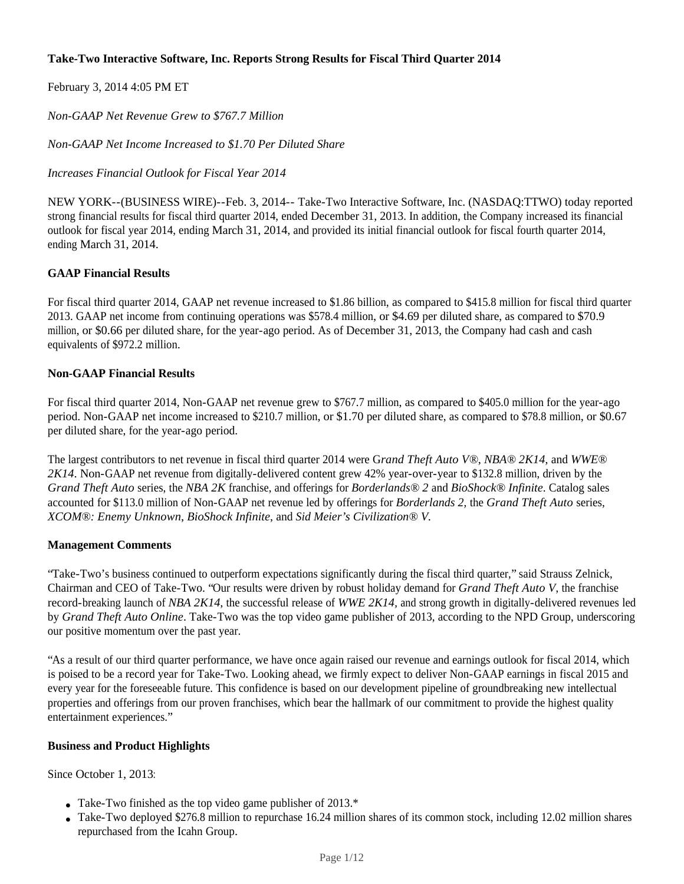# **Take-Two Interactive Software, Inc. Reports Strong Results for Fiscal Third Quarter 2014**

February 3, 2014 4:05 PM ET

*Non-GAAP Net Revenue Grew to \$767.7 Million*

*Non-GAAP Net Income Increased to \$1.70 Per Diluted Share*

*Increases Financial Outlook for Fiscal Year 2014*

NEW YORK--(BUSINESS WIRE)--Feb. 3, 2014-- Take-Two Interactive Software, Inc. (NASDAQ:TTWO) today reported strong financial results for fiscal third quarter 2014, ended December 31, 2013. In addition, the Company increased its financial outlook for fiscal year 2014, ending March 31, 2014, and provided its initial financial outlook for fiscal fourth quarter 2014, ending March 31, 2014.

### **GAAP Financial Results**

For fiscal third quarter 2014, GAAP net revenue increased to \$1.86 billion, as compared to \$415.8 million for fiscal third quarter 2013. GAAP net income from continuing operations was \$578.4 million, or \$4.69 per diluted share, as compared to \$70.9 million, or \$0.66 per diluted share, for the year-ago period. As of December 31, 2013, the Company had cash and cash equivalents of \$972.2 million.

#### **Non-GAAP Financial Results**

For fiscal third quarter 2014, Non-GAAP net revenue grew to \$767.7 million, as compared to \$405.0 million for the year-ago period. Non-GAAP net income increased to \$210.7 million, or \$1.70 per diluted share, as compared to \$78.8 million, or \$0.67 per diluted share, for the year-ago period.

The largest contributors to net revenue in fiscal third quarter 2014 were G*rand Theft Auto V®*, *NBA® 2K14*, and *WWE® 2K14*. Non-GAAP net revenue from digitally-delivered content grew 42% year-over-year to \$132.8 million, driven by the *Grand Theft Auto* series, the *NBA 2K* franchise, and offerings for *Borderlands® 2* and *BioShock® Infinite*. Catalog sales accounted for \$113.0 million of Non-GAAP net revenue led by offerings for *Borderlands 2*, the *Grand Theft Auto* series, *XCOM®: Enemy Unknown*, *BioShock Infinite*, and *Sid Meier's Civilization® V.*

#### **Management Comments**

"Take-Two's business continued to outperform expectations significantly during the fiscal third quarter," said Strauss Zelnick, Chairman and CEO of Take-Two. "Our results were driven by robust holiday demand for *Grand Theft Auto V*, the franchise record-breaking launch of *NBA 2K14*, the successful release of *WWE 2K14,* and strong growth in digitally-delivered revenues led by *Grand Theft Auto Online*. Take-Two was the top video game publisher of 2013, according to the NPD Group, underscoring our positive momentum over the past year.

"As a result of our third quarter performance, we have once again raised our revenue and earnings outlook for fiscal 2014, which is poised to be a record year for Take-Two. Looking ahead, we firmly expect to deliver Non-GAAP earnings in fiscal 2015 and every year for the foreseeable future. This confidence is based on our development pipeline of groundbreaking new intellectual properties and offerings from our proven franchises, which bear the hallmark of our commitment to provide the highest quality entertainment experiences."

#### **Business and Product Highlights**

Since October 1, 2013:

- Take-Two finished as the top video game publisher of  $2013.*$
- Take-Two deployed \$276.8 million to repurchase 16.24 million shares of its common stock, including 12.02 million shares repurchased from the Icahn Group.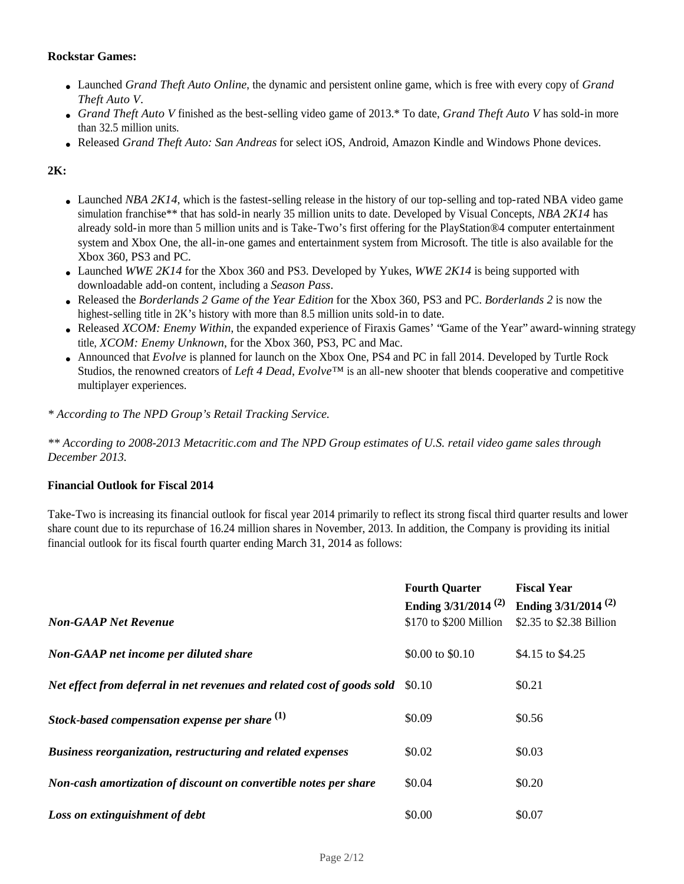#### **Rockstar Games:**

- Launched *Grand Theft Auto Online*, the dynamic and persistent online game, which is free with every copy of *Grand Theft Auto V*.
- *Grand Theft Auto V* finished as the best-selling video game of 2013.\* To date, *Grand Theft Auto V* has sold-in more than 32.5 million units.
- Released *Grand Theft Auto: San Andreas* for select iOS, Android, Amazon Kindle and Windows Phone devices.

# **2K:**

- Launched *NBA 2K14*, which is the fastest-selling release in the history of our top-selling and top-rated NBA video game simulation franchise\*\* that has sold-in nearly 35 million units to date. Developed by Visual Concepts, *NBA 2K14* has already sold-in more than 5 million units and is Take-Two's first offering for the PlayStation®4 computer entertainment system and Xbox One, the all-in-one games and entertainment system from Microsoft. The title is also available for the Xbox 360, PS3 and PC.
- Launched *WWE 2K14* for the Xbox 360 and PS3. Developed by Yukes, *WWE 2K14* is being supported with downloadable add-on content, including a *Season Pass*.
- Released the *Borderlands 2 Game of the Year Edition* for the Xbox 360, PS3 and PC. *Borderlands 2* is now the highest-selling title in 2K's history with more than 8.5 million units sold-in to date.
- Released *XCOM: Enemy Within*, the expanded experience of Firaxis Games' "Game of the Year" award-winning strategy title, *XCOM: Enemy Unknown*, for the Xbox 360, PS3, PC and Mac.
- Announced that *Evolve* is planned for launch on the Xbox One, PS4 and PC in fall 2014. Developed by Turtle Rock Studios, the renowned creators of *Left 4 Dead*, *Evolve™* is an all-new shooter that blends cooperative and competitive multiplayer experiences.

*\* According to The NPD Group's Retail Tracking Service.*

*\*\* According to 2008-2013 Metacritic.com and The NPD Group estimates of U.S. retail video game sales through December 2013.*

#### **Financial Outlook for Fiscal 2014**

Take-Two is increasing its financial outlook for fiscal year 2014 primarily to reflect its strong fiscal third quarter results and lower share count due to its repurchase of 16.24 million shares in November, 2013. In addition, the Company is providing its initial financial outlook for its fiscal fourth quarter ending March 31, 2014 as follows:

| <b>Non-GAAP Net Revenue</b>                                             | <b>Fourth Quarter</b><br>Ending $3/31/2014$ <sup>(2)</sup><br>\$170 to \$200 Million | <b>Fiscal Year</b><br>Ending $3/31/2014$ <sup>(2)</sup><br>\$2.35 to \$2.38 Billion |
|-------------------------------------------------------------------------|--------------------------------------------------------------------------------------|-------------------------------------------------------------------------------------|
| Non-GAAP net income per diluted share                                   | \$0.00 to \$0.10                                                                     | \$4.15 to \$4.25                                                                    |
| Net effect from deferral in net revenues and related cost of goods sold | \$0.10                                                                               | \$0.21                                                                              |
| Stock-based compensation expense per share $(1)$                        | \$0.09                                                                               | \$0.56                                                                              |
| <b>Business reorganization, restructuring and related expenses</b>      | \$0.02                                                                               | \$0.03                                                                              |
| Non-cash amortization of discount on convertible notes per share        | \$0.04                                                                               | \$0.20                                                                              |
| Loss on extinguishment of debt                                          | \$0.00                                                                               | \$0.07                                                                              |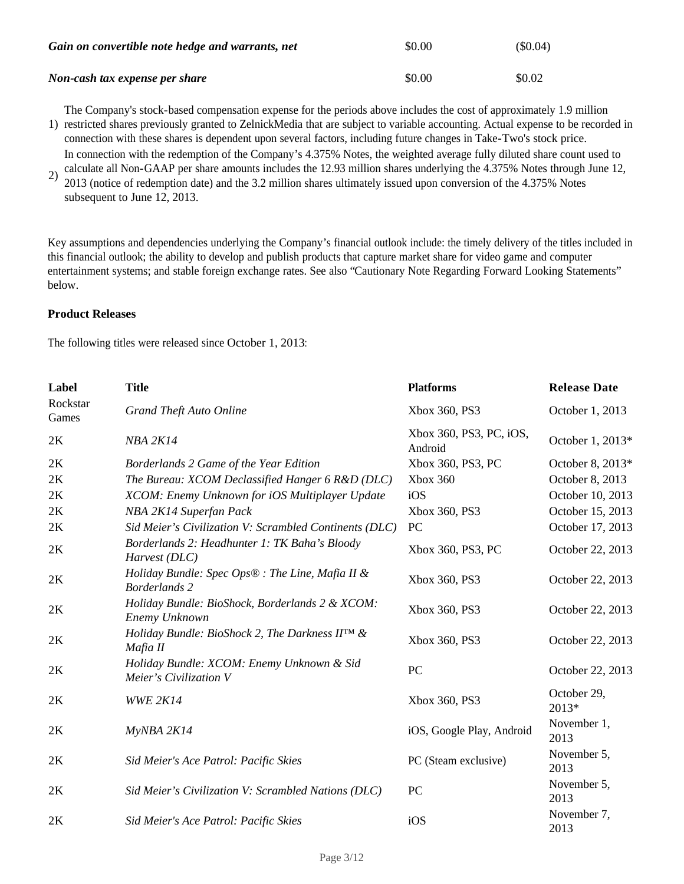| Gain on convertible note hedge and warrants, net | \$0.00 | $(\$0.04)$ |
|--------------------------------------------------|--------|------------|
| Non-cash tax expense per share                   | \$0.00 | \$0.02     |

1) restricted shares previously granted to ZelnickMedia that are subject to variable accounting. Actual expense to be recorded in The Company's stock-based compensation expense for the periods above includes the cost of approximately 1.9 million

- connection with these shares is dependent upon several factors, including future changes in Take-Two's stock price. In connection with the redemption of the Company's 4.375% Notes, the weighted average fully diluted share count used to calculate all Non-GAAP per share amounts includes the 12.93 million shares underlying the 4.375% Notes through June 12,
- 2) 2013 (notice of redemption date) and the 3.2 million shares ultimately issued upon conversion of the 4.375% Notes subsequent to June 12, 2013.

Key assumptions and dependencies underlying the Company's financial outlook include: the timely delivery of the titles included in this financial outlook; the ability to develop and publish products that capture market share for video game and computer entertainment systems; and stable foreign exchange rates. See also "Cautionary Note Regarding Forward Looking Statements" below.

### **Product Releases**

The following titles were released since October 1, 2013:

| Label             | <b>Title</b>                                                                           | <b>Platforms</b>                   | <b>Release Date</b>  |
|-------------------|----------------------------------------------------------------------------------------|------------------------------------|----------------------|
| Rockstar<br>Games | <b>Grand Theft Auto Online</b>                                                         | Xbox 360, PS3                      | October 1, 2013      |
| 2K                | <b>NBA 2K14</b>                                                                        | Xbox 360, PS3, PC, iOS,<br>Android | October 1, 2013*     |
| 2K                | Borderlands 2 Game of the Year Edition                                                 | Xbox 360, PS3, PC                  | October 8, 2013*     |
| 2K                | The Bureau: XCOM Declassified Hanger 6 R&D (DLC)                                       | Xbox 360                           | October 8, 2013      |
| 2K                | XCOM: Enemy Unknown for iOS Multiplayer Update                                         | iOS                                | October 10, 2013     |
| 2K                | NBA 2K14 Superfan Pack                                                                 | Xbox 360, PS3                      | October 15, 2013     |
| 2K                | Sid Meier's Civilization V: Scrambled Continents (DLC)                                 | PC                                 | October 17, 2013     |
| 2K                | Borderlands 2: Headhunter 1: TK Baha's Bloody<br>Harvest (DLC)                         | Xbox 360, PS3, PC                  | October 22, 2013     |
| 2K                | Holiday Bundle: Spec Ops $\mathfrak{B}$ : The Line, Mafia II &<br><b>Borderlands 2</b> | Xbox 360, PS3                      | October 22, 2013     |
| 2K                | Holiday Bundle: BioShock, Borderlands 2 & XCOM:<br>Enemy Unknown                       | Xbox 360, PS3                      | October 22, 2013     |
| 2K                | Holiday Bundle: BioShock 2, The Darkness IIIM &<br>Mafia II                            | Xbox 360, PS3                      | October 22, 2013     |
| 2K                | Holiday Bundle: XCOM: Enemy Unknown & Sid<br>Meier's Civilization V                    | PC                                 | October 22, 2013     |
| 2K                | <b>WWE 2K14</b>                                                                        | Xbox 360, PS3                      | October 29,<br>2013* |
| 2K                | MyNBA 2K14                                                                             | iOS, Google Play, Android          | November 1,<br>2013  |
| 2K                | Sid Meier's Ace Patrol: Pacific Skies                                                  | PC (Steam exclusive)               | November 5,<br>2013  |
| 2K                | Sid Meier's Civilization V: Scrambled Nations (DLC)                                    | PC                                 | November 5,<br>2013  |
| 2K                | Sid Meier's Ace Patrol: Pacific Skies                                                  | iOS                                | November 7,<br>2013  |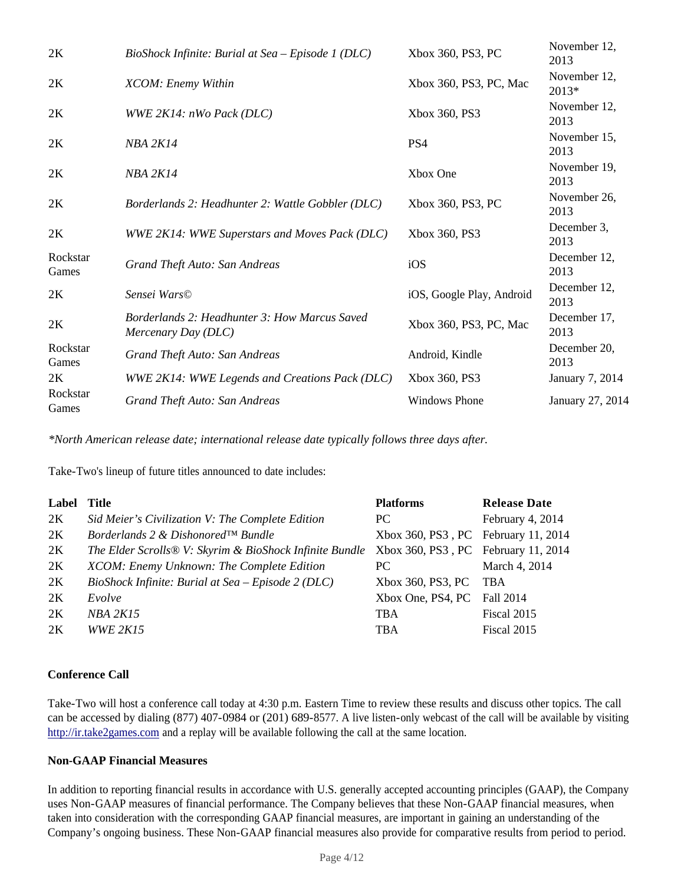| 2K                | BioShock Infinite: Burial at Sea – Episode 1 (DLC)                   | Xbox 360, PS3, PC         | November 12,<br>2013  |
|-------------------|----------------------------------------------------------------------|---------------------------|-----------------------|
| 2K                | XCOM: Enemy Within                                                   | Xbox 360, PS3, PC, Mac    | November 12,<br>2013* |
| 2K                | WWE 2K14: nWo Pack (DLC)                                             | Xbox 360, PS3             | November 12,<br>2013  |
| 2K                | <b>NBA 2K14</b>                                                      | PS4                       | November 15,<br>2013  |
| 2K                | <b>NBA 2K14</b>                                                      | Xbox One                  | November 19,<br>2013  |
| 2K                | Borderlands 2: Headhunter 2: Wattle Gobbler (DLC)                    | Xbox 360, PS3, PC         | November 26,<br>2013  |
| 2K                | WWE 2K14: WWE Superstars and Moves Pack (DLC)                        | Xbox 360, PS3             | December 3,<br>2013   |
| Rockstar<br>Games | Grand Theft Auto: San Andreas                                        | iOS                       | December 12,<br>2013  |
| 2K                | Sensei Wars©                                                         | iOS, Google Play, Android | December 12,<br>2013  |
| 2K                | Borderlands 2: Headhunter 3: How Marcus Saved<br>Mercenary Day (DLC) | Xbox 360, PS3, PC, Mac    | December 17,<br>2013  |
| Rockstar<br>Games | Grand Theft Auto: San Andreas                                        | Android, Kindle           | December 20,<br>2013  |
| 2K                | WWE 2K14: WWE Legends and Creations Pack (DLC)                       | Xbox 360, PS3             | January 7, 2014       |
| Rockstar<br>Games | Grand Theft Auto: San Andreas                                        | <b>Windows Phone</b>      | January 27, 2014      |

*\*North American release date; international release date typically follows three days after.*

Take-Two's lineup of future titles announced to date includes:

| Label | <b>Title</b>                                            | <b>Platforms</b>                    | <b>Release Date</b> |
|-------|---------------------------------------------------------|-------------------------------------|---------------------|
| 2K    | Sid Meier's Civilization V: The Complete Edition        | PC.                                 | February 4, 2014    |
| 2K    | Borderlands 2 & Dishonored™ Bundle                      | Xbox 360, PS3, PC February 11, 2014 |                     |
| 2K    | The Elder Scrolls® V: Skyrim & BioShock Infinite Bundle | Xbox 360, PS3, PC February 11, 2014 |                     |
| 2K    | XCOM: Enemy Unknown: The Complete Edition               | PC.                                 | March 4, 2014       |
| 2K    | BioShock Infinite: Burial at Sea – Episode 2 (DLC)      | Xbox 360, PS3, PC                   | TBA                 |
| 2K    | Evolve                                                  | Xbox One, PS4, PC                   | Fall 2014           |
| 2K    | <i>NBA 2K15</i>                                         | <b>TBA</b>                          | Fiscal 2015         |
| 2K    | <b>WWE 2K15</b>                                         | <b>TBA</b>                          | Fiscal 2015         |

# **Conference Call**

Take-Two will host a conference call today at 4:30 p.m. Eastern Time to review these results and discuss other topics. The call can be accessed by dialing (877) 407-0984 or (201) 689-8577. A live listen-only webcast of the call will be available by visiting http://ir.take2games.com and a replay will be available following the call at the same location.

# **Non-GAAP Financial Measures**

In addition to reporting financial results in accordance with U.S. generally accepted accounting principles (GAAP), the Company uses Non-GAAP measures of financial performance. The Company believes that these Non-GAAP financial measures, when taken into consideration with the corresponding GAAP financial measures, are important in gaining an understanding of the Company's ongoing business. These Non-GAAP financial measures also provide for comparative results from period to period.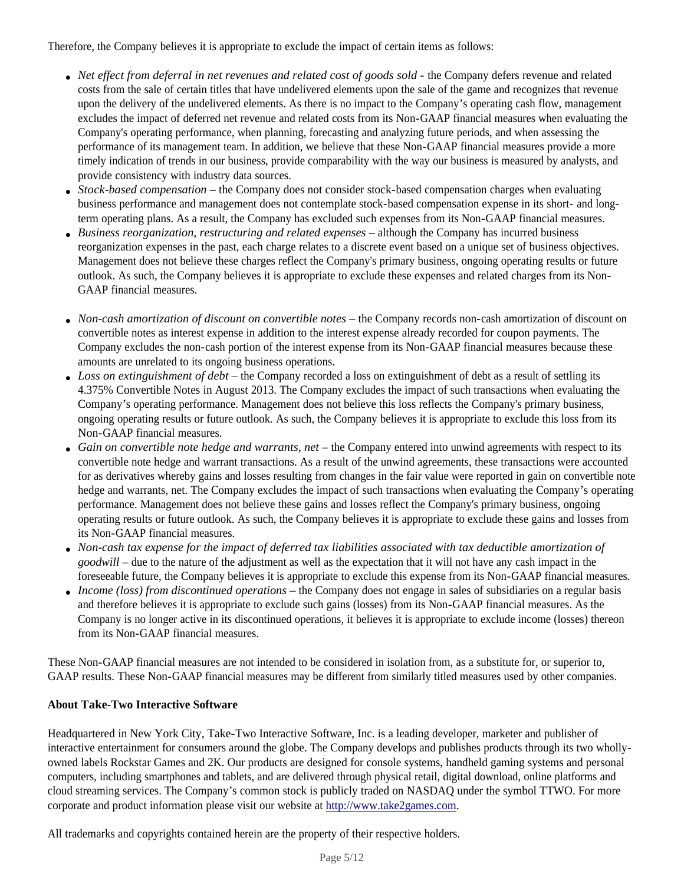Therefore, the Company believes it is appropriate to exclude the impact of certain items as follows:

- *Net effect from deferral in net revenues and related cost of goods sold* the Company defers revenue and related costs from the sale of certain titles that have undelivered elements upon the sale of the game and recognizes that revenue upon the delivery of the undelivered elements. As there is no impact to the Company's operating cash flow, management excludes the impact of deferred net revenue and related costs from its Non-GAAP financial measures when evaluating the Company's operating performance, when planning, forecasting and analyzing future periods, and when assessing the performance of its management team. In addition, we believe that these Non-GAAP financial measures provide a more timely indication of trends in our business, provide comparability with the way our business is measured by analysts, and provide consistency with industry data sources.
- *Stock-based compensation* the Company does not consider stock-based compensation charges when evaluating business performance and management does not contemplate stock-based compensation expense in its short- and longterm operating plans. As a result, the Company has excluded such expenses from its Non-GAAP financial measures.
- *Business reorganization, restructuring and related expenses*  although the Company has incurred business reorganization expenses in the past, each charge relates to a discrete event based on a unique set of business objectives. Management does not believe these charges reflect the Company's primary business, ongoing operating results or future outlook. As such, the Company believes it is appropriate to exclude these expenses and related charges from its Non-GAAP financial measures.
- *Non-cash amortization of discount on convertible notes* the Company records non-cash amortization of discount on convertible notes as interest expense in addition to the interest expense already recorded for coupon payments. The Company excludes the non-cash portion of the interest expense from its Non-GAAP financial measures because these amounts are unrelated to its ongoing business operations.
- *Loss on extinguishment of debt* the Company recorded a loss on extinguishment of debt as a result of settling its 4.375% Convertible Notes in August 2013. The Company excludes the impact of such transactions when evaluating the Company's operating performance. Management does not believe this loss reflects the Company's primary business, ongoing operating results or future outlook. As such, the Company believes it is appropriate to exclude this loss from its Non-GAAP financial measures.
- *Gain on convertible note hedge and warrants, net* the Company entered into unwind agreements with respect to its convertible note hedge and warrant transactions. As a result of the unwind agreements, these transactions were accounted for as derivatives whereby gains and losses resulting from changes in the fair value were reported in gain on convertible note hedge and warrants, net. The Company excludes the impact of such transactions when evaluating the Company's operating performance. Management does not believe these gains and losses reflect the Company's primary business, ongoing operating results or future outlook. As such, the Company believes it is appropriate to exclude these gains and losses from its Non-GAAP financial measures.
- *Non-cash tax expense for the impact of deferred tax liabilities associated with tax deductible amortization of goodwill* – due to the nature of the adjustment as well as the expectation that it will not have any cash impact in the foreseeable future, the Company believes it is appropriate to exclude this expense from its Non-GAAP financial measures*.*
- *Income (loss) from discontinued operations* the Company does not engage in sales of subsidiaries on a regular basis and therefore believes it is appropriate to exclude such gains (losses) from its Non-GAAP financial measures. As the Company is no longer active in its discontinued operations, it believes it is appropriate to exclude income (losses) thereon from its Non-GAAP financial measures.

These Non-GAAP financial measures are not intended to be considered in isolation from, as a substitute for, or superior to, GAAP results. These Non-GAAP financial measures may be different from similarly titled measures used by other companies.

# **About Take-Two Interactive Software**

Headquartered in New York City, Take-Two Interactive Software, Inc. is a leading developer, marketer and publisher of interactive entertainment for consumers around the globe. The Company develops and publishes products through its two whollyowned labels Rockstar Games and 2K. Our products are designed for console systems, handheld gaming systems and personal computers, including smartphones and tablets, and are delivered through physical retail, digital download, online platforms and cloud streaming services. The Company's common stock is publicly traded on NASDAQ under the symbol TTWO. For more corporate and product information please visit our website at http://www.take2games.com.

All trademarks and copyrights contained herein are the property of their respective holders.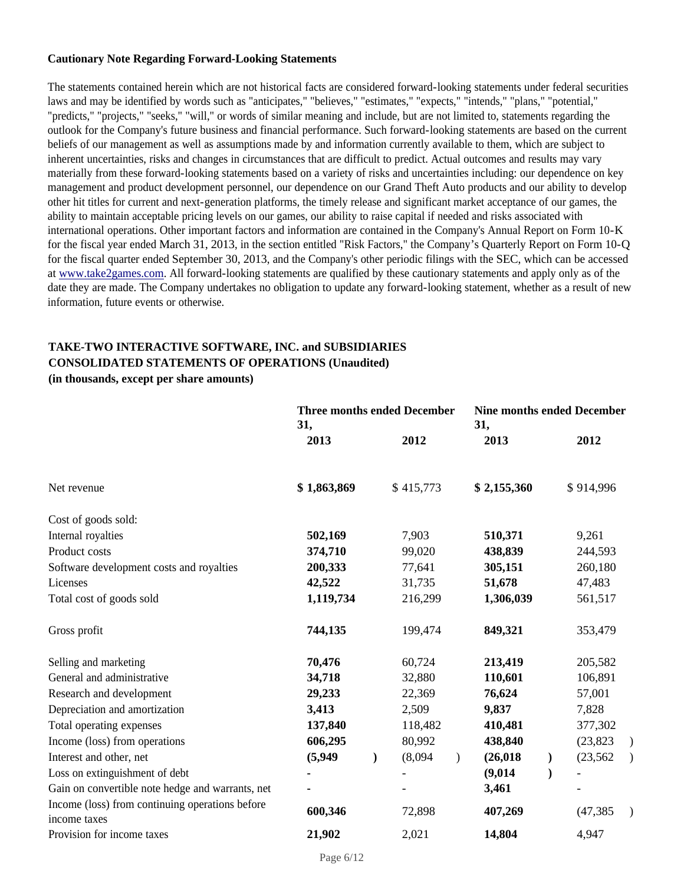#### **Cautionary Note Regarding Forward-Looking Statements**

The statements contained herein which are not historical facts are considered forward-looking statements under federal securities laws and may be identified by words such as "anticipates," "believes," "estimates," "expects," "intends," "plans," "potential," "predicts," "projects," "seeks," "will," or words of similar meaning and include, but are not limited to, statements regarding the outlook for the Company's future business and financial performance. Such forward-looking statements are based on the current beliefs of our management as well as assumptions made by and information currently available to them, which are subject to inherent uncertainties, risks and changes in circumstances that are difficult to predict. Actual outcomes and results may vary materially from these forward-looking statements based on a variety of risks and uncertainties including: our dependence on key management and product development personnel, our dependence on our Grand Theft Auto products and our ability to develop other hit titles for current and next-generation platforms, the timely release and significant market acceptance of our games, the ability to maintain acceptable pricing levels on our games, our ability to raise capital if needed and risks associated with international operations. Other important factors and information are contained in the Company's Annual Report on Form 10-K for the fiscal year ended March 31, 2013, in the section entitled "Risk Factors," the Company's Quarterly Report on Form 10-Q for the fiscal quarter ended September 30, 2013, and the Company's other periodic filings with the SEC, which can be accessed at www.take2games.com. All forward-looking statements are qualified by these cautionary statements and apply only as of the date they are made. The Company undertakes no obligation to update any forward-looking statement, whether as a result of new information, future events or otherwise.

# **TAKE-TWO INTERACTIVE SOFTWARE, INC. and SUBSIDIARIES CONSOLIDATED STATEMENTS OF OPERATIONS (Unaudited)**

**(in thousands, except per share amounts)**

|                                                                 | <b>Three months ended December</b><br>31, |  |           | <b>Nine months ended December</b><br>31, |             |               |           |               |
|-----------------------------------------------------------------|-------------------------------------------|--|-----------|------------------------------------------|-------------|---------------|-----------|---------------|
|                                                                 | 2013                                      |  | 2012      |                                          | 2013        |               | 2012      |               |
| Net revenue                                                     | \$1,863,869                               |  | \$415,773 |                                          | \$2,155,360 |               | \$914,996 |               |
| Cost of goods sold:                                             |                                           |  |           |                                          |             |               |           |               |
| Internal royalties                                              | 502,169                                   |  | 7,903     |                                          | 510,371     |               | 9,261     |               |
| Product costs                                                   | 374,710                                   |  | 99,020    |                                          | 438,839     |               | 244,593   |               |
| Software development costs and royalties                        | 200,333                                   |  | 77,641    |                                          | 305,151     |               | 260,180   |               |
| Licenses                                                        | 42,522                                    |  | 31,735    |                                          | 51,678      |               | 47,483    |               |
| Total cost of goods sold                                        | 1,119,734                                 |  | 216,299   |                                          | 1,306,039   |               | 561,517   |               |
| Gross profit                                                    | 744,135                                   |  | 199,474   |                                          | 849,321     |               | 353,479   |               |
| Selling and marketing                                           | 70,476                                    |  | 60,724    |                                          | 213,419     |               | 205,582   |               |
| General and administrative                                      | 34,718                                    |  | 32,880    |                                          | 110,601     |               | 106,891   |               |
| Research and development                                        | 29,233                                    |  | 22,369    |                                          | 76,624      |               | 57,001    |               |
| Depreciation and amortization                                   | 3,413                                     |  | 2,509     |                                          | 9,837       |               | 7,828     |               |
| Total operating expenses                                        | 137,840                                   |  | 118,482   |                                          | 410,481     |               | 377,302   |               |
| Income (loss) from operations                                   | 606,295                                   |  | 80,992    |                                          | 438,840     |               | (23, 823) | $\lambda$     |
| Interest and other, net                                         | (5,949)                                   |  | (8,094)   | $\lambda$                                | (26, 018)   | $\mathcal{L}$ | (23, 562) | $\rightarrow$ |
| Loss on extinguishment of debt                                  |                                           |  |           |                                          | (9,014)     |               |           |               |
| Gain on convertible note hedge and warrants, net                |                                           |  |           |                                          | 3,461       |               |           |               |
| Income (loss) from continuing operations before<br>income taxes | 600,346                                   |  | 72,898    |                                          | 407,269     |               | (47, 385) | $\lambda$     |
| Provision for income taxes                                      | 21,902                                    |  | 2,021     |                                          | 14,804      |               | 4,947     |               |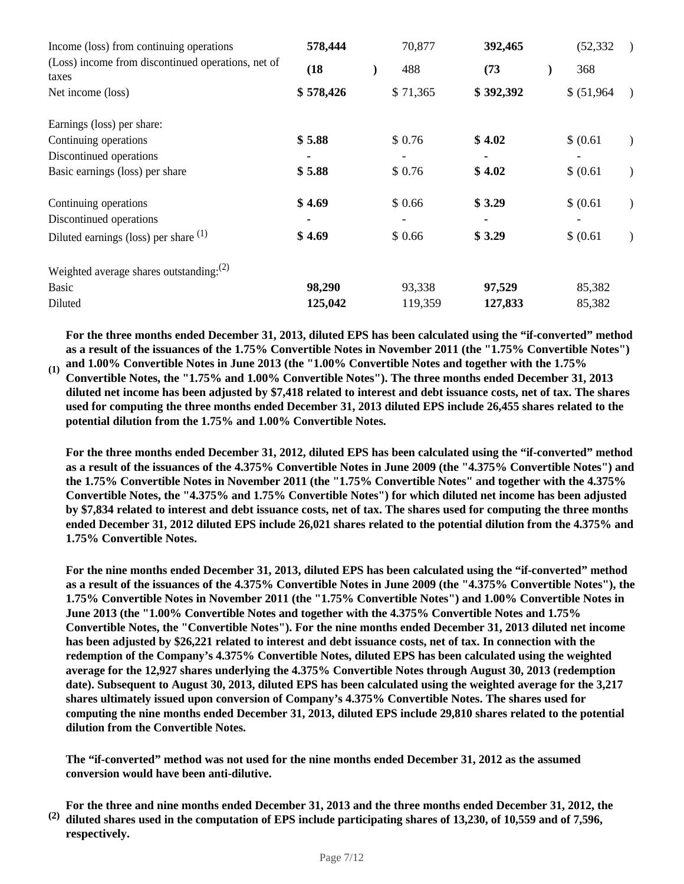| Income (loss) from continuing operations                    | 578,444   | 70,877   | 392,465   | (52, 332)                    |  |
|-------------------------------------------------------------|-----------|----------|-----------|------------------------------|--|
| (Loss) income from discontinued operations, net of<br>taxes | (18)      | 488      | (73)      | 368                          |  |
| Net income (loss)                                           | \$578,426 | \$71,365 | \$392,392 | \$ (51,964)<br>$\rightarrow$ |  |
| Earnings (loss) per share:                                  |           |          |           |                              |  |
| Continuing operations                                       | \$5.88    | \$0.76   | \$4.02    | \$ (0.61)                    |  |
| Discontinued operations                                     |           |          |           |                              |  |
| Basic earnings (loss) per share                             | \$5.88    | \$0.76   | \$4.02    | \$ (0.61)<br>$\lambda$       |  |
| Continuing operations                                       | \$4.69    | \$0.66   | \$3.29    | \$ (0.61)                    |  |
| Discontinued operations                                     |           |          |           |                              |  |
| Diluted earnings (loss) per share $(1)$                     | \$4.69    | \$0.66   | \$3.29    | \$ (0.61)                    |  |
| Weighted average shares outstanding: $(2)$                  |           |          |           |                              |  |
| <b>Basic</b>                                                | 98,290    | 93,338   | 97,529    | 85,382                       |  |
| Diluted                                                     | 125,042   | 119,359  | 127,833   | 85,382                       |  |

**For the three months ended December 31, 2013, diluted EPS has been calculated using the "if-converted" method as a result of the issuances of the 1.75% Convertible Notes in November 2011 (the "1.75% Convertible Notes")** 

**(1) and 1.00% Convertible Notes in June 2013 (the "1.00% Convertible Notes and together with the 1.75% Convertible Notes, the "1.75% and 1.00% Convertible Notes"). The three months ended December 31, 2013 diluted net income has been adjusted by \$7,418 related to interest and debt issuance costs, net of tax. The shares used for computing the three months ended December 31, 2013 diluted EPS include 26,455 shares related to the potential dilution from the 1.75% and 1.00% Convertible Notes.**

**For the three months ended December 31, 2012, diluted EPS has been calculated using the "if-converted" method as a result of the issuances of the 4.375% Convertible Notes in June 2009 (the "4.375% Convertible Notes") and the 1.75% Convertible Notes in November 2011 (the "1.75% Convertible Notes" and together with the 4.375% Convertible Notes, the "4.375% and 1.75% Convertible Notes") for which diluted net income has been adjusted by \$7,834 related to interest and debt issuance costs, net of tax. The shares used for computing the three months ended December 31, 2012 diluted EPS include 26,021 shares related to the potential dilution from the 4.375% and 1.75% Convertible Notes.**

**For the nine months ended December 31, 2013, diluted EPS has been calculated using the "if-converted" method as a result of the issuances of the 4.375% Convertible Notes in June 2009 (the "4.375% Convertible Notes"), the 1.75% Convertible Notes in November 2011 (the "1.75% Convertible Notes") and 1.00% Convertible Notes in June 2013 (the "1.00% Convertible Notes and together with the 4.375% Convertible Notes and 1.75% Convertible Notes, the "Convertible Notes"). For the nine months ended December 31, 2013 diluted net income has been adjusted by \$26,221 related to interest and debt issuance costs, net of tax. In connection with the redemption of the Company's 4.375% Convertible Notes, diluted EPS has been calculated using the weighted average for the 12,927 shares underlying the 4.375% Convertible Notes through August 30, 2013 (redemption date). Subsequent to August 30, 2013, diluted EPS has been calculated using the weighted average for the 3,217 shares ultimately issued upon conversion of Company's 4.375% Convertible Notes. The shares used for computing the nine months ended December 31, 2013, diluted EPS include 29,810 shares related to the potential dilution from the Convertible Notes.**

**The "if-converted" method was not used for the nine months ended December 31, 2012 as the assumed conversion would have been anti-dilutive.**

**(2) For the three and nine months ended December 31, 2013 and the three months ended December 31, 2012, the diluted shares used in the computation of EPS include participating shares of 13,230, of 10,559 and of 7,596, respectively.**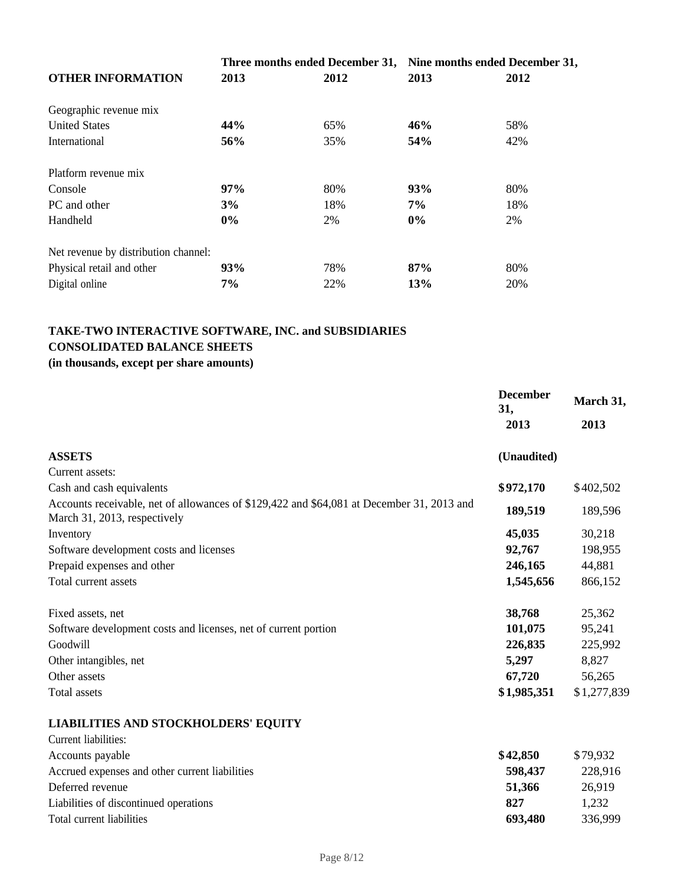|                                      |            | Three months ended December 31, Nine months ended December 31, |       |      |
|--------------------------------------|------------|----------------------------------------------------------------|-------|------|
| <b>OTHER INFORMATION</b>             | 2013       | 2012                                                           | 2013  | 2012 |
| Geographic revenue mix               |            |                                                                |       |      |
| <b>United States</b>                 | 44%        | 65%                                                            | 46%   | 58%  |
| International                        | 56%        | 35%                                                            | 54%   | 42%  |
| Platform revenue mix                 |            |                                                                |       |      |
| Console                              | 97%        | 80%                                                            | 93%   | 80%  |
| PC and other                         | 3%         | 18%                                                            | $7\%$ | 18%  |
| Handheld                             | $0\%$      | 2%                                                             | $0\%$ | 2%   |
| Net revenue by distribution channel: |            |                                                                |       |      |
| Physical retail and other            | <b>93%</b> | 78%                                                            | 87%   | 80%  |
| Digital online                       | 7%         | 22%                                                            | 13%   | 20%  |

# **TAKE-TWO INTERACTIVE SOFTWARE, INC. and SUBSIDIARIES CONSOLIDATED BALANCE SHEETS**

# **(in thousands, except per share amounts)**

|                                                                                                                           | <b>December</b><br>31, | March 31,   |  |
|---------------------------------------------------------------------------------------------------------------------------|------------------------|-------------|--|
|                                                                                                                           | 2013                   | 2013        |  |
| <b>ASSETS</b>                                                                                                             | (Unaudited)            |             |  |
| Current assets:                                                                                                           |                        |             |  |
| Cash and cash equivalents                                                                                                 | \$972,170              | \$402,502   |  |
| Accounts receivable, net of allowances of \$129,422 and \$64,081 at December 31, 2013 and<br>March 31, 2013, respectively | 189,519                | 189,596     |  |
| Inventory                                                                                                                 | 45,035                 | 30,218      |  |
| Software development costs and licenses                                                                                   | 92,767                 | 198,955     |  |
| Prepaid expenses and other                                                                                                | 246,165                | 44,881      |  |
| Total current assets                                                                                                      | 1,545,656              | 866,152     |  |
| Fixed assets, net                                                                                                         | 38,768                 | 25,362      |  |
| Software development costs and licenses, net of current portion                                                           | 101,075                | 95,241      |  |
| Goodwill                                                                                                                  | 226,835                | 225,992     |  |
| Other intangibles, net                                                                                                    | 5,297                  | 8,827       |  |
| Other assets                                                                                                              | 67,720                 | 56,265      |  |
| Total assets                                                                                                              | \$1,985,351            | \$1,277,839 |  |
| <b>LIABILITIES AND STOCKHOLDERS' EQUITY</b>                                                                               |                        |             |  |
| Current liabilities:                                                                                                      |                        |             |  |
| Accounts payable                                                                                                          | \$42.850               | \$79932     |  |

| Accounts payable                               | \$42,850 | \$79.932 |
|------------------------------------------------|----------|----------|
| Accrued expenses and other current liabilities | 598.437  | 228.916  |
| Deferred revenue                               | 51.366   | 26.919   |
| Liabilities of discontinued operations         | 827      | 1.232    |
| Total current liabilities                      | 693.480  | 336.999  |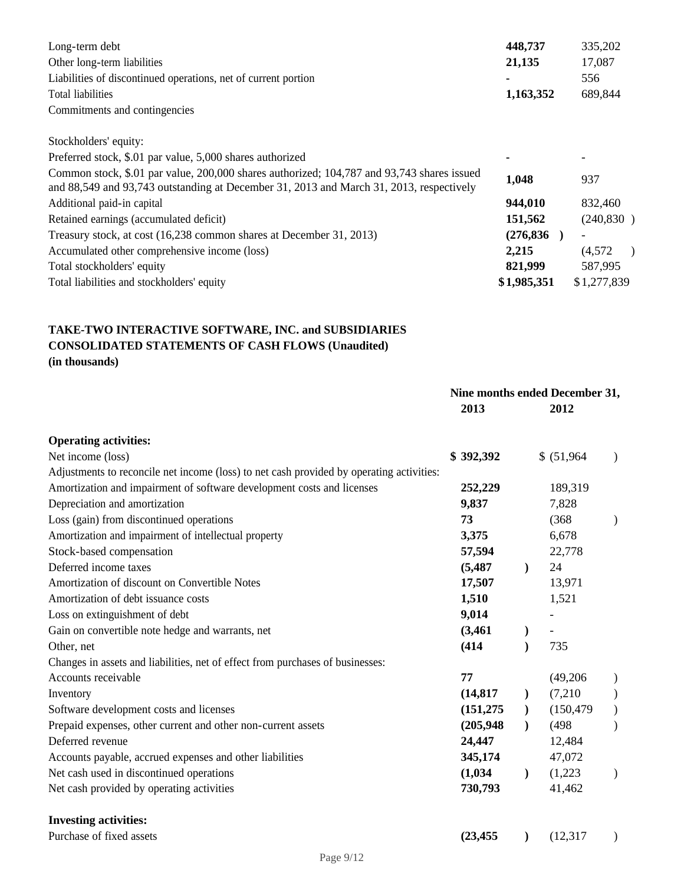| Long-term debt<br>Other long-term liabilities<br>Liabilities of discontinued operations, net of current portion<br>Total liabilities                                                  | 448,737<br>21,135<br>1,163,352 | 335,202<br>17,087<br>556<br>689,844 |
|---------------------------------------------------------------------------------------------------------------------------------------------------------------------------------------|--------------------------------|-------------------------------------|
| Commitments and contingencies                                                                                                                                                         |                                |                                     |
| Stockholders' equity:                                                                                                                                                                 |                                |                                     |
| Preferred stock, \$.01 par value, 5,000 shares authorized                                                                                                                             |                                |                                     |
| Common stock, \$.01 par value, 200,000 shares authorized; 104,787 and 93,743 shares issued<br>and 88,549 and 93,743 outstanding at December 31, 2013 and March 31, 2013, respectively | 1,048                          | 937                                 |
| Additional paid-in capital                                                                                                                                                            | 944,010                        | 832,460                             |
| Retained earnings (accumulated deficit)                                                                                                                                               | 151,562                        | (240, 830)                          |
| Treasury stock, at cost (16,238 common shares at December 31, 2013)                                                                                                                   | (276, 836)                     |                                     |
| Accumulated other comprehensive income (loss)                                                                                                                                         | 2,215                          | (4,572)                             |
| Total stockholders' equity                                                                                                                                                            | 821,999                        | 587,995                             |
| Total liabilities and stockholders' equity                                                                                                                                            | \$1,985,351                    | \$1,277,839                         |

# **TAKE-TWO INTERACTIVE SOFTWARE, INC. and SUBSIDIARIES CONSOLIDATED STATEMENTS OF CASH FLOWS (Unaudited) (in thousands)**

|                                                                                          | Nine months ended December 31,<br>2013 |               | 2012        |  |
|------------------------------------------------------------------------------------------|----------------------------------------|---------------|-------------|--|
| <b>Operating activities:</b>                                                             |                                        |               |             |  |
| Net income (loss)                                                                        | \$392,392                              |               | \$ (51,964) |  |
| Adjustments to reconcile net income (loss) to net cash provided by operating activities: |                                        |               |             |  |
| Amortization and impairment of software development costs and licenses                   | 252,229                                |               | 189,319     |  |
| Depreciation and amortization                                                            | 9,837                                  |               | 7,828       |  |
| Loss (gain) from discontinued operations                                                 | 73                                     |               | (368)       |  |
| Amortization and impairment of intellectual property                                     | 3,375                                  |               | 6,678       |  |
| Stock-based compensation                                                                 | 57,594                                 |               | 22,778      |  |
| Deferred income taxes                                                                    | (5, 487)                               | $\mathcal{L}$ | 24          |  |
| Amortization of discount on Convertible Notes                                            | 17,507                                 |               | 13,971      |  |
| Amortization of debt issuance costs                                                      | 1,510                                  |               | 1,521       |  |
| Loss on extinguishment of debt                                                           | 9,014                                  |               |             |  |
| Gain on convertible note hedge and warrants, net                                         | (3,461)                                |               |             |  |
| Other, net                                                                               | (414)                                  |               | 735         |  |
| Changes in assets and liabilities, net of effect from purchases of businesses:           |                                        |               |             |  |
| Accounts receivable                                                                      | 77                                     |               | (49,206)    |  |
| Inventory                                                                                | (14, 817)                              | $\mathcal{F}$ | (7,210)     |  |
| Software development costs and licenses                                                  | (151, 275)                             | $\mathcal{L}$ | (150, 479)  |  |
| Prepaid expenses, other current and other non-current assets                             | (205, 948)                             | $\mathcal{L}$ | (498)       |  |
| Deferred revenue                                                                         | 24,447                                 |               | 12,484      |  |
| Accounts payable, accrued expenses and other liabilities                                 | 345,174                                |               | 47,072      |  |
| Net cash used in discontinued operations                                                 | (1,034)                                | $\mathcal{L}$ | (1,223)     |  |
| Net cash provided by operating activities                                                | 730,793                                |               | 41,462      |  |
| <b>Investing activities:</b>                                                             |                                        |               |             |  |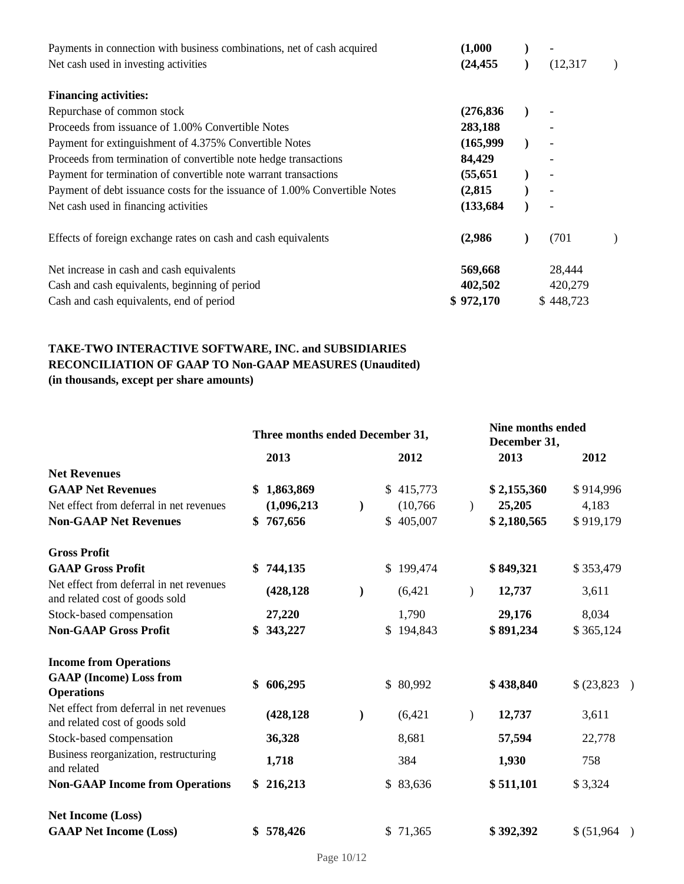| Payments in connection with business combinations, net of cash acquired    | (1,000)    |                          |  |
|----------------------------------------------------------------------------|------------|--------------------------|--|
| Net cash used in investing activities                                      | (24, 455)  | (12,317)                 |  |
| <b>Financing activities:</b>                                               |            |                          |  |
| Repurchase of common stock                                                 | (276, 836) |                          |  |
| Proceeds from issuance of 1.00% Convertible Notes                          | 283,188    |                          |  |
| Payment for extinguishment of 4.375% Convertible Notes                     | (165,999)  |                          |  |
| Proceeds from termination of convertible note hedge transactions           | 84,429     |                          |  |
| Payment for termination of convertible note warrant transactions           | (55, 651)  |                          |  |
| Payment of debt issuance costs for the issuance of 1.00% Convertible Notes | (2,815)    |                          |  |
| Net cash used in financing activities                                      | (133, 684) | $\overline{\phantom{a}}$ |  |
| Effects of foreign exchange rates on cash and cash equivalents             | (2,986)    | (701)                    |  |
| Net increase in cash and cash equivalents                                  | 569,668    | 28,444                   |  |
| Cash and cash equivalents, beginning of period                             | 402,502    | 420,279                  |  |
| Cash and cash equivalents, end of period                                   | \$972,170  | \$448,723                |  |

# **TAKE-TWO INTERACTIVE SOFTWARE, INC. and SUBSIDIARIES RECONCILIATION OF GAAP TO Non-GAAP MEASURES (Unaudited) (in thousands, except per share amounts)**

|                                                                            | Three months ended December 31, |             |               |           | Nine months ended<br>December 31, |             |             |
|----------------------------------------------------------------------------|---------------------------------|-------------|---------------|-----------|-----------------------------------|-------------|-------------|
|                                                                            |                                 | 2013        |               | 2012      |                                   | 2013        | 2012        |
| <b>Net Revenues</b>                                                        |                                 |             |               |           |                                   |             |             |
| <b>GAAP Net Revenues</b>                                                   | \$                              | 1,863,869   |               | \$415,773 |                                   | \$2,155,360 | \$914,996   |
| Net effect from deferral in net revenues                                   |                                 | (1,096,213) | $\mathcal{L}$ | (10,766)  | $\lambda$                         | 25,205      | 4,183       |
| <b>Non-GAAP Net Revenues</b>                                               | \$                              | 767,656     |               | \$405,007 |                                   | \$2,180,565 | \$919,179   |
| <b>Gross Profit</b>                                                        |                                 |             |               |           |                                   |             |             |
| <b>GAAP Gross Profit</b>                                                   |                                 | \$744,135   |               | \$199,474 |                                   | \$849,321   | \$353,479   |
| Net effect from deferral in net revenues<br>and related cost of goods sold |                                 | (428, 128)  | $\mathcal{L}$ | (6,421)   | $\lambda$                         | 12,737      | 3,611       |
| Stock-based compensation                                                   |                                 | 27,220      |               | 1,790     |                                   | 29,176      | 8,034       |
| <b>Non-GAAP Gross Profit</b>                                               | \$                              | 343,227     |               | \$194,843 |                                   | \$891,234   | \$365,124   |
| <b>Income from Operations</b>                                              |                                 |             |               |           |                                   |             |             |
| <b>GAAP</b> (Income) Loss from<br><b>Operations</b>                        | \$                              | 606,295     |               | \$80,992  |                                   | \$438,840   | \$(23,823)  |
| Net effect from deferral in net revenues<br>and related cost of goods sold |                                 | (428, 128)  | $\lambda$     | (6,421)   | $\mathcal{E}$                     | 12,737      | 3,611       |
| Stock-based compensation                                                   |                                 | 36,328      |               | 8,681     |                                   | 57,594      | 22,778      |
| Business reorganization, restructuring<br>and related                      |                                 | 1,718       |               | 384       |                                   | 1,930       | 758         |
| <b>Non-GAAP Income from Operations</b>                                     |                                 | \$216,213   |               | \$83,636  |                                   | \$511,101   | \$3,324     |
| <b>Net Income (Loss)</b>                                                   |                                 |             |               |           |                                   |             |             |
| <b>GAAP Net Income (Loss)</b>                                              | \$                              | 578,426     |               | \$71,365  |                                   | \$392,392   | \$ (51,964) |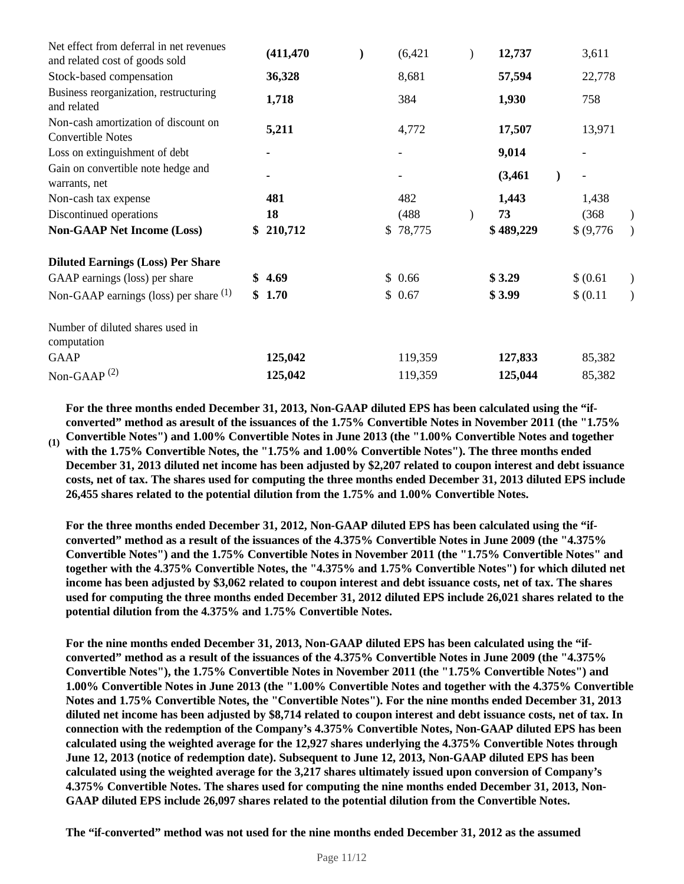| (411, 470)    | $\lambda$ | (6,421)                  |                        | 12,737    | 3,611                    |  |
|---------------|-----------|--------------------------|------------------------|-----------|--------------------------|--|
| 36,328        |           | 8,681                    |                        | 57,594    | 22,778                   |  |
| 1,718         |           | 384                      |                        | 1,930     | 758                      |  |
| 5,211         |           | 4,772                    |                        | 17,507    | 13,971                   |  |
|               |           | $\overline{\phantom{a}}$ |                        | 9,014     |                          |  |
|               |           |                          |                        | (3,461)   | $\overline{\phantom{a}}$ |  |
| 481           |           | 482                      |                        | 1,443     | 1,438                    |  |
| 18            |           | (488)                    |                        | 73        | (368)                    |  |
| 210,712<br>\$ |           | 78,775                   |                        | \$489,229 | \$ (9,776)               |  |
|               |           |                          |                        |           |                          |  |
| \$4.69        |           |                          |                        | \$3.29    | \$ (0.61)                |  |
| \$1.70        |           |                          |                        | \$3.99    | \$ (0.11)                |  |
|               |           |                          |                        |           |                          |  |
| 125,042       |           | 119,359                  |                        | 127,833   | 85,382                   |  |
| 125,042       |           | 119,359                  |                        | 125,044   | 85,382                   |  |
|               |           |                          | \$<br>\$0.66<br>\$0.67 |           |                          |  |

**For the three months ended December 31, 2013, Non-GAAP diluted EPS has been calculated using the "ifconverted" method as aresult of the issuances of the 1.75% Convertible Notes in November 2011 (the "1.75%** 

**(1) Convertible Notes") and 1.00% Convertible Notes in June 2013 (the "1.00% Convertible Notes and together with the 1.75% Convertible Notes, the "1.75% and 1.00% Convertible Notes"). The three months ended December 31, 2013 diluted net income has been adjusted by \$2,207 related to coupon interest and debt issuance costs, net of tax. The shares used for computing the three months ended December 31, 2013 diluted EPS include 26,455 shares related to the potential dilution from the 1.75% and 1.00% Convertible Notes.**

**For the three months ended December 31, 2012, Non-GAAP diluted EPS has been calculated using the "ifconverted" method as a result of the issuances of the 4.375% Convertible Notes in June 2009 (the "4.375% Convertible Notes") and the 1.75% Convertible Notes in November 2011 (the "1.75% Convertible Notes" and together with the 4.375% Convertible Notes, the "4.375% and 1.75% Convertible Notes") for which diluted net income has been adjusted by \$3,062 related to coupon interest and debt issuance costs, net of tax. The shares used for computing the three months ended December 31, 2012 diluted EPS include 26,021 shares related to the potential dilution from the 4.375% and 1.75% Convertible Notes.**

**For the nine months ended December 31, 2013, Non-GAAP diluted EPS has been calculated using the "ifconverted" method as a result of the issuances of the 4.375% Convertible Notes in June 2009 (the "4.375% Convertible Notes"), the 1.75% Convertible Notes in November 2011 (the "1.75% Convertible Notes") and 1.00% Convertible Notes in June 2013 (the "1.00% Convertible Notes and together with the 4.375% Convertible Notes and 1.75% Convertible Notes, the "Convertible Notes"). For the nine months ended December 31, 2013 diluted net income has been adjusted by \$8,714 related to coupon interest and debt issuance costs, net of tax. In connection with the redemption of the Company's 4.375% Convertible Notes, Non-GAAP diluted EPS has been calculated using the weighted average for the 12,927 shares underlying the 4.375% Convertible Notes through June 12, 2013 (notice of redemption date). Subsequent to June 12, 2013, Non-GAAP diluted EPS has been calculated using the weighted average for the 3,217 shares ultimately issued upon conversion of Company's 4.375% Convertible Notes. The shares used for computing the nine months ended December 31, 2013, Non-GAAP diluted EPS include 26,097 shares related to the potential dilution from the Convertible Notes.**

**The "if-converted" method was not used for the nine months ended December 31, 2012 as the assumed**